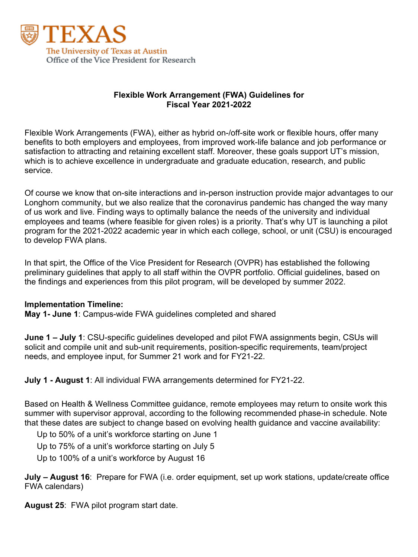

## **Flexible Work Arrangement (FWA) Guidelines for Fiscal Year 2021-2022**

Flexible Work Arrangements (FWA), either as hybrid on-/off-site work or flexible hours, offer many benefits to both employers and employees, from improved work-life balance and job performance or satisfaction to attracting and retaining excellent staff. Moreover, these goals support UT's mission, which is to achieve excellence in undergraduate and graduate education, research, and public service.

Of course we know that on-site interactions and in-person instruction provide major advantages to our Longhorn community, but we also realize that the coronavirus pandemic has changed the way many of us work and live. Finding ways to optimally balance the needs of the university and individual employees and teams (where feasible for given roles) is a priority. That's why UT is launching a pilot program for the 2021-2022 academic year in which each college, school, or unit (CSU) is encouraged to develop FWA plans.

In that spirt, the Office of the Vice President for Research (OVPR) has established the following preliminary guidelines that apply to all staff within the OVPR portfolio. Official guidelines, based on the findings and experiences from this pilot program, will be developed by summer 2022.

#### **Implementation Timeline:**

**May 1- June 1**: Campus-wide FWA guidelines completed and shared

**June 1 – July 1**: CSU-specific guidelines developed and pilot FWA assignments begin, CSUs will solicit and compile unit and sub-unit requirements, position-specific requirements, team/project needs, and employee input, for Summer 21 work and for FY21-22.

**July 1 - August 1**: All individual FWA arrangements determined for FY21-22.

Based on Health & Wellness Committee guidance, remote employees may return to onsite work this summer with supervisor approval, according to the following recommended phase-in schedule. Note that these dates are subject to change based on evolving health guidance and vaccine availability:

Up to 50% of a unit's workforce starting on June 1

Up to 75% of a unit's workforce starting on July 5

Up to 100% of a unit's workforce by August 16

**July – August 16**: Prepare for FWA (i.e. order equipment, set up work stations, update/create office FWA calendars)

**August 25**: FWA pilot program start date.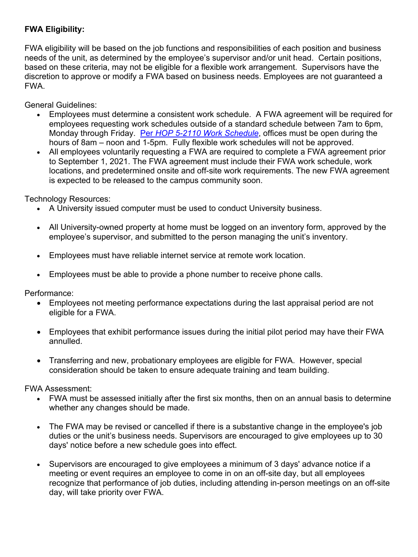# **FWA Eligibility:**

FWA eligibility will be based on the job functions and responsibilities of each position and business needs of the unit, as determined by the employee's supervisor and/or unit head. Certain positions, based on these criteria, may not be eligible for a flexible work arrangement. Supervisors have the discretion to approve or modify a FWA based on business needs. Employees are not guaranteed a FWA.

General Guidelines:

- Employees must determine a consistent work schedule. A FWA agreement will be required for employees requesting work schedules outside of a standard schedule between 7am to 6pm, Monday through Friday. Per *HOP 5-2110 Work Schedule*, offices must be open during the hours of 8am – noon and 1-5pm. Fully flexible work schedules will not be approved.
- All employees voluntarily requesting a FWA are required to complete a FWA agreement prior to September 1, 2021. The FWA agreement must include their FWA work schedule, work locations, and predetermined onsite and off-site work requirements. The new FWA agreement is expected to be released to the campus community soon.

Technology Resources:

- A University issued computer must be used to conduct University business.
- All University-owned property at home must be logged on an inventory form, approved by the employee's supervisor, and submitted to the person managing the unit's inventory.
- Employees must have reliable internet service at remote work location.
- Employees must be able to provide a phone number to receive phone calls.

Performance:

- Employees not meeting performance expectations during the last appraisal period are not eligible for a FWA.
- Employees that exhibit performance issues during the initial pilot period may have their FWA annulled.
- Transferring and new, probationary employees are eligible for FWA. However, special consideration should be taken to ensure adequate training and team building.

FWA Assessment:

- FWA must be assessed initially after the first six months, then on an annual basis to determine whether any changes should be made.
- The FWA may be revised or cancelled if there is a substantive change in the employee's job duties or the unit's business needs. Supervisors are encouraged to give employees up to 30 days' notice before a new schedule goes into effect.
- Supervisors are encouraged to give employees a minimum of 3 days' advance notice if a meeting or event requires an employee to come in on an off-site day, but all employees recognize that performance of job duties, including attending in-person meetings on an off-site day, will take priority over FWA.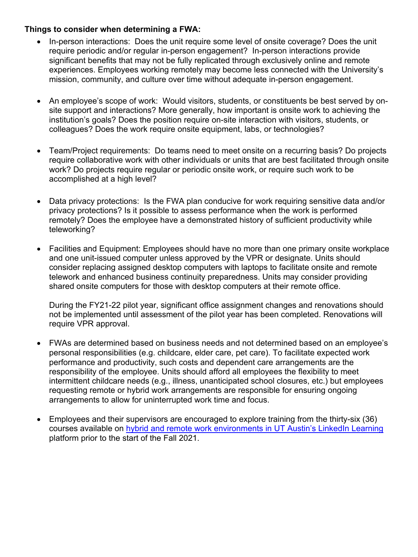### **Things to consider when determining a FWA:**

- In-person interactions: Does the unit require some level of onsite coverage? Does the unit require periodic and/or regular in-person engagement? In-person interactions provide significant benefits that may not be fully replicated through exclusively online and remote experiences. Employees working remotely may become less connected with the University's mission, community, and culture over time without adequate in-person engagement.
- An employee's scope of work: Would visitors, students, or constituents be best served by onsite support and interactions? More generally, how important is onsite work to achieving the institution's goals? Does the position require on-site interaction with visitors, students, or colleagues? Does the work require onsite equipment, labs, or technologies?
- Team/Project requirements: Do teams need to meet onsite on a recurring basis? Do projects require collaborative work with other individuals or units that are best facilitated through onsite work? Do projects require regular or periodic onsite work, or require such work to be accomplished at a high level?
- Data privacy protections: Is the FWA plan conducive for work requiring sensitive data and/or privacy protections? Is it possible to assess performance when the work is performed remotely? Does the employee have a demonstrated history of sufficient productivity while teleworking?
- Facilities and Equipment: Employees should have no more than one primary onsite workplace and one unit-issued computer unless approved by the VPR or designate. Units should consider replacing assigned desktop computers with laptops to facilitate onsite and remote telework and enhanced business continuity preparedness. Units may consider providing shared onsite computers for those with desktop computers at their remote office.

During the FY21-22 pilot year, significant office assignment changes and renovations should not be implemented until assessment of the pilot year has been completed. Renovations will require VPR approval.

- FWAs are determined based on business needs and not determined based on an employee's personal responsibilities (e.g. childcare, elder care, pet care). To facilitate expected work performance and productivity, such costs and dependent care arrangements are the responsibility of the employee. Units should afford all employees the flexibility to meet intermittent childcare needs (e.g., illness, unanticipated school closures, etc.) but employees requesting remote or hybrid work arrangements are responsible for ensuring ongoing arrangements to allow for uninterrupted work time and focus.
- Employees and their supervisors are encouraged to explore training from the thirty-six (36) courses available on hybrid and remote work environments in UT Austin's LinkedIn Learning platform prior to the start of the Fall 2021.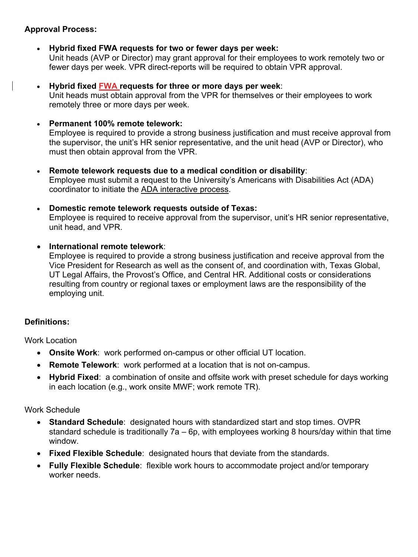# **Approval Process:**

- **Hybrid fixed FWA requests for two or fewer days per week:** Unit heads (AVP or Director) may grant approval for their employees to work remotely two or fewer days per week. VPR direct-reports will be required to obtain VPR approval.
- **Hybrid fixed FWA requests for three or more days per week**: Unit heads must obtain approval from the VPR for themselves or their employees to work remotely three or more days per week.
- **Permanent 100% remote telework:**

Employee is required to provide a strong business justification and must receive approval from the supervisor, the unit's HR senior representative, and the unit head (AVP or Director), who must then obtain approval from the VPR.

- **Remote telework requests due to a medical condition or disability**: Employee must submit a request to the University's Americans with Disabilities Act (ADA) coordinator to initiate the ADA interactive process.
- **Domestic remote telework requests outside of Texas:**

Employee is required to receive approval from the supervisor, unit's HR senior representative, unit head, and VPR.

• **International remote telework**:

Employee is required to provide a strong business justification and receive approval from the Vice President for Research as well as the consent of, and coordination with, Texas Global, UT Legal Affairs, the Provost's Office, and Central HR. Additional costs or considerations resulting from country or regional taxes or employment laws are the responsibility of the employing unit.

## **Definitions:**

Work Location

- **Onsite Work**: work performed on-campus or other official UT location.
- **Remote Telework**: work performed at a location that is not on-campus.
- **Hybrid Fixed**: a combination of onsite and offsite work with preset schedule for days working in each location (e.g., work onsite MWF; work remote TR).

Work Schedule

- **Standard Schedule**: designated hours with standardized start and stop times. OVPR standard schedule is traditionally 7a – 6p, with employees working 8 hours/day within that time window.
- **Fixed Flexible Schedule**: designated hours that deviate from the standards.
- **Fully Flexible Schedule**: flexible work hours to accommodate project and/or temporary worker needs.